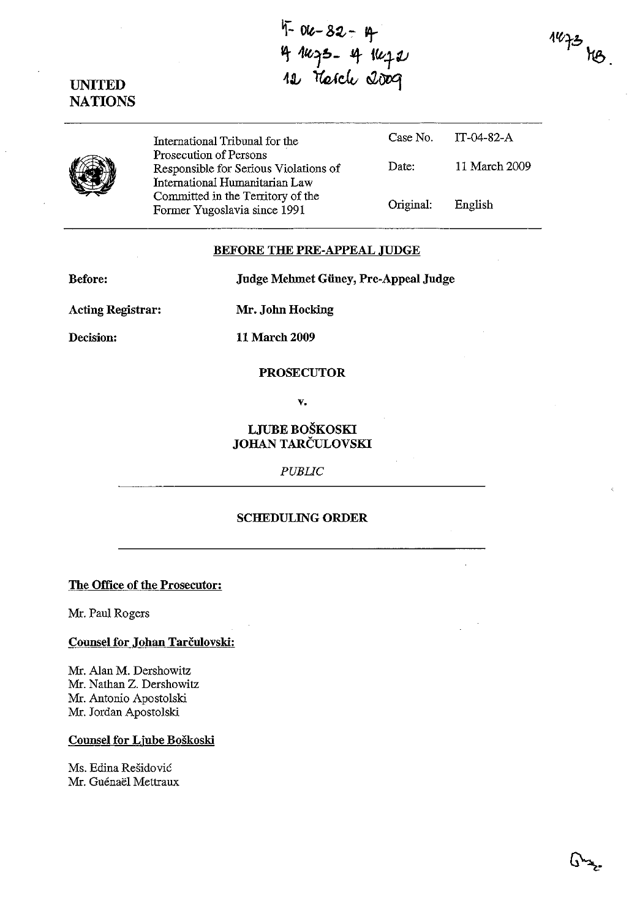$4 - 82 - 9$ ~ !fl(;~~\_ It *ilv+3J*  12 Therche 2009





International Tribunal for the Case No.<br>Prosecution of Persons Prosecution of Persons<br>Responsible for Serious<br>International Humanital<br>Committed in the Terri Responsible for Serious Violations of Date: International Humanitarian Law Committed in the Territory of the Former Yugoslavia since 1991 Original: IT-04-82-A 11 March 2009 English

## BEFORE THE PRE-APPEAL JUDGE

Before:

Judge Mehmet Güney, Pre-Appeal Judge

Acting Registrar:

Mr. John Hocking

Decision:

11 March 2009

#### PROSECUTOR

v.

# LJUBE BOSKOSKI JOHAN TARČULOVSKI

*PUBLIC* 

## SCHEDULING ORDER

The Office of the Prosecutor:

Mr. Paul Rogers

#### Counsel for Johan Tarčulovski:

Mr. Alan M. Dershowitz Mr. Nathan Z. Dershowitz Mr. Antonio Apostolski Mr. Jordan Apostolski

# Counsel for Ljube Boškoski

Ms. Edina Residovic Mr. Guénaël Mettraux